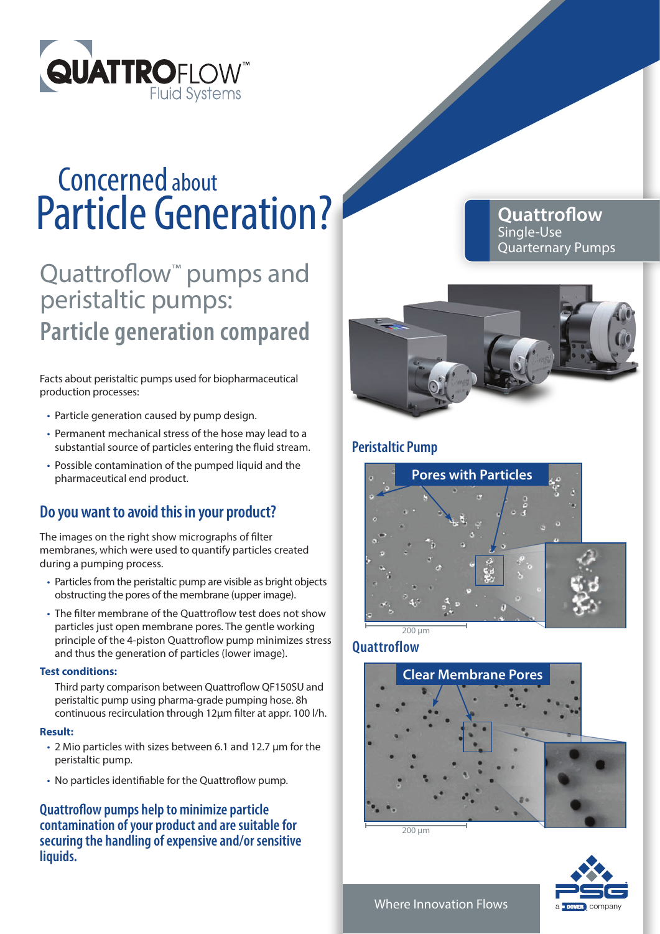

## Particle Generation? Concerned about

## Quattroflow<sup>™</sup> pumps and peristaltic pumps: **Particle generation compared**

Facts about peristaltic pumps used for biopharmaceutical production processes:

- Particle generation caused by pump design.
- Permanent mechanical stress of the hose may lead to a substantial source of particles entering the fluid stream.
- Possible contamination of the pumped liquid and the pharmaceutical end product.

### **Do you want to avoid this in your product?**

The images on the right show micrographs of filter membranes, which were used to quantify particles created during a pumping process.

- Particles from the peristaltic pump are visible as bright objects obstructing the pores of the membrane (upper image).
- The filter membrane of the Quattroflow test does not show particles just open membrane pores. The gentle working principle of the 4-piston Quattroflow pump minimizes stress and thus the generation of particles (lower image).

### **Test conditions:**

Third party comparison between Quattroflow QF150SU and peristaltic pump using pharma-grade pumping hose. 8h continuous recirculation through 12µm filter at appr. 100 l/h.

### **Result:**

- 2 Mio particles with sizes between 6.1 and 12.7 µm for the peristaltic pump.
- No particles identifiable for the Quattroflow pump.

**Quattroflow pumps help to minimize particle contamination of your product and are suitable for securing the handling of expensive and/or sensitive liquids.**

**Quattroflow** Single-Use Quarternary Pumps



### **Peristaltic Pump**



### **Quattroflow**



200 µm